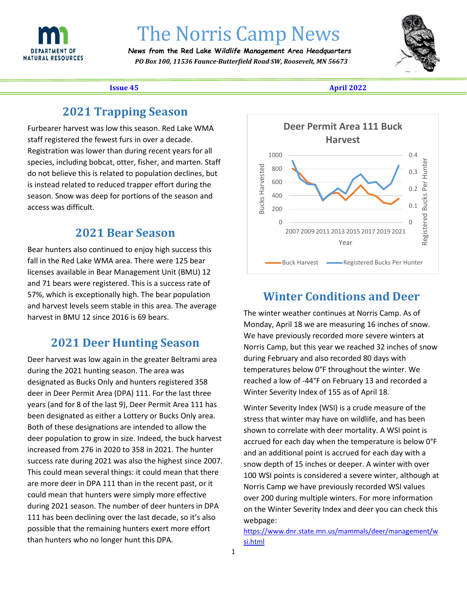

# The Norris Camp News *News f***rom the Red Lake W***ildlife* **M***anagement* **A***rea Headquarters*

 *PO Box 100, 11536 Faunce-Butterfield Road SW, Roosevelt, MN 56673*



**Issue 45 April 2022**

#### **2021 Trapping Season**

Furbearer harvest was low this season. Red Lake WMA staff registered the fewest furs in over a decade. Registration was lower than during recent years for all species, including bobcat, otter, fisher, and marten. Staff do not believe this is related to population declines, but is instead related to reduced trapper effort during the season. Snow was deep for portions of the season and access was difficult.

#### **2021 Bear Season**

Bear hunters also continued to enjoy high success this fall in the Red Lake WMA area. There were 125 bear licenses available in Bear Management Unit (BMU) 12 and 71 bears were registered. This is a success rate of 57%, which is exceptionally high. The bear population and harvest levels seem stable in this area. The average harvest in BMU 12 since 2016 is 69 bears.

### **2021 Deer Hunting Season**

Deer harvest was low again in the greater Beltrami area during the 2021 hunting season. The area was designated as Bucks Only and hunters registered 358 deer in Deer Permit Area (DPA) 111. For the last three years (and for 8 of the last 9), Deer Permit Area 111 has been designated as either a Lottery or Bucks Only area. Both of these designations are intended to allow the deer population to grow in size. Indeed, the buck harvest increased from 276 in 2020 to 358 in 2021. The hunter success rate during 2021 was also the highest since 2007. This could mean several things: it could mean that there are more deer in DPA 111 than in the recent past, or it could mean that hunters were simply more effective during 2021 season. The number of deer hunters in DPA 111 has been declining over the last decade, so it's also possible that the remaining hunters exert more effort than hunters who no longer hunt this DPA.



### **Winter Conditions and Deer**

The winter weather continues at Norris Camp. As of Monday, April 18 we are measuring 16 inches of snow. We have previously recorded more severe winters at Norris Camp, but this year we reached 32 inches of snow during February and also recorded 80 days with temperatures below 0°F throughout the winter. We reached a low of -44°F on February 13 and recorded a Winter Severity Index of 155 as of April 18.

Winter Severity Index (WSI) is a crude measure of the stress that winter may have on wildlife, and has been shown to correlate with deer mortality. A WSI point is accrued for each day when the temperature is below 0°F and an additional point is accrued for each day with a snow depth of 15 inches or deeper. A winter with over 100 WSI points is considered a severe winter, although at Norris Camp we have previously recorded WSI values over 200 during multiple winters. For more information on the Winter Severity Index and deer you can check this webpage:

[https://www.dnr.state.mn.us/mammals/deer/management/w](https://www.dnr.state.mn.us/mammals/deer/management/wsi.html) [si.html](https://www.dnr.state.mn.us/mammals/deer/management/wsi.html)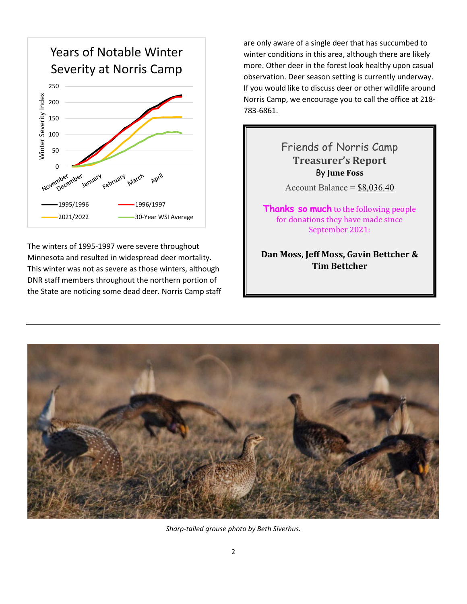

The winters of 1995-1997 were severe throughout Minnesota and resulted in widespread deer mortality. This winter was not as severe as those winters, although DNR staff members throughout the northern portion of the State are noticing some dead deer. Norris Camp staff are only aware of a single deer that has succumbed to winter conditions in this area, although there are likely more. Other deer in the forest look healthy upon casual observation. Deer season setting is currently underway. If you would like to discuss deer or other wildlife around Norris Camp, we encourage you to call the office at 218- 783-6861.

## Friends of Norris Camp **Treasurer's Report** By **June Foss** Account Balance =  $$8,036.40$ **Thanks so much** to the following people for donations they have made since September 2021: **Dan Moss, Jeff Moss, Gavin Bettcher & Tim Bettcher**



*Sharp-tailed grouse photo by Beth Siverhus.*